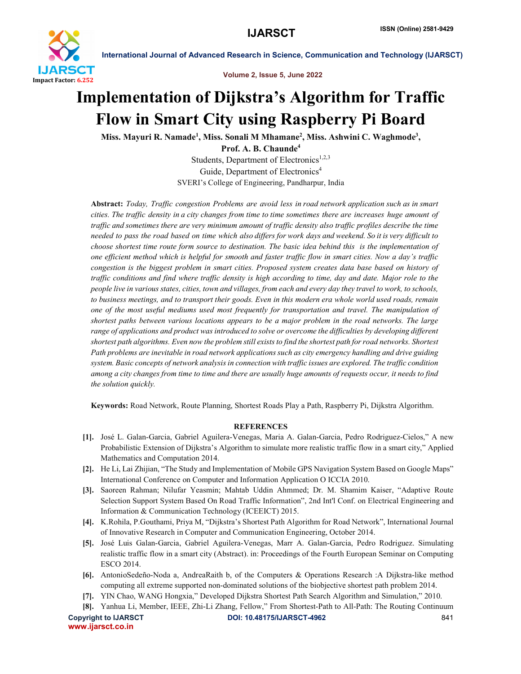

International Journal of Advanced Research in Science, Communication and Technology (IJARSCT)

Volume 2, Issue 5, June 2022

## Implementation of Dijkstra's Algorithm for Traffic Flow in Smart City using Raspberry Pi Board

Miss. Mayuri R. Namade<sup>1</sup>, Miss. Sonali M Mhamane<sup>2</sup>, Miss. Ashwini C. Waghmode<sup>3</sup>,

Prof. A. B. Chaunde4 Students, Department of Electronics<sup>1,2,3</sup> Guide, Department of Electronics<sup>4</sup> SVERI's College of Engineering, Pandharpur, India

Abstract: *Today, Traffic congestion Problems are avoid less in road network application such as in smart cities. The traffic density in a city changes from time to time sometimes there are increases huge amount of traffic and sometimes there are very minimum amount of traffic density also traffic profiles describe the time needed to pass the road based on time which also differs for work days and weekend. So it is very difficult to choose shortest time route form source to destination. The basic idea behind this is the implementation of one efficient method which is helpful for smooth and faster traffic flow in smart cities. Now a day's traffic congestion is the biggest problem in smart cities. Proposed system creates data base based on history of traffic conditions and find where traffic density is high according to time, day and date. Major role to the people live in various states, cities, town and villages, from each and every day they travel to work, to schools, to business meetings, and to transport their goods. Even in this modern era whole world used roads, remain one of the most useful mediums used most frequently for transportation and travel. The manipulation of shortest paths between various locations appears to be a major problem in the road networks. The large range of applications and product was introduced to solve or overcome the difficulties by developing different shortest path algorithms. Even now the problem still exists to find the shortest path for road networks. Shortest Path problems are inevitable in road network applications such as city emergency handling and drive guiding system. Basic concepts of network analysis in connection with traffic issues are explored. The traffic condition among a city changes from time to time and there are usually huge amounts of requests occur, it needs to find the solution quickly.*

Keywords: Road Network, Route Planning, Shortest Roads Play a Path, Raspberry Pi, Dijkstra Algorithm.

## **REFERENCES**

- [1]. José L. Galan-Garcia, Gabriel Aguilera-Venegas, Maria A. Galan-Garcia, Pedro Rodriguez-Cielos," A new Probabilistic Extension of Dijkstra's Algorithm to simulate more realistic traffic flow in a smart city," Applied Mathematics and Computation 2014.
- [2]. He Li, Lai Zhijian, "The Study and Implementation of Mobile GPS Navigation System Based on Google Maps" International Conference on Computer and Information Application O ICCIA 2010.
- [3]. Saoreen Rahman; Nilufar Yeasmin; Mahtab Uddin Ahmmed; Dr. M. Shamim Kaiser, "Adaptive Route Selection Support System Based On Road Traffic Information", 2nd Int'l Conf. on Electrical Engineering and Information & Communication Technology (ICEEICT) 2015.
- [4]. K.Rohila, P.Gouthami, Priya M, "Dijkstra's Shortest Path Algorithm for Road Network", International Journal of Innovative Research in Computer and Communication Engineering, October 2014.
- [5]. José Luis Galan-Garcia, Gabriel Aguilera-Venegas, Marr A. Galan-Garcia, Pedro Rodriguez. Simulating realistic traffic flow in a smart city (Abstract). in: Proceedings of the Fourth European Seminar on Computing ESCO 2014.
- [6]. AntonioSedeño-Noda a, AndreaRaith b, of the Computers & Operations Research :A Dijkstra-like method computing all extreme supported non-dominated solutions of the biobjective shortest path problem 2014.
- [7]. YIN Chao, WANG Hongxia," Developed Dijkstra Shortest Path Search Algorithm and Simulation," 2010.
- [8]. Yanhua Li, Member, IEEE, Zhi-Li Zhang, Fellow," From Shortest-Path to All-Path: The Routing Continuum